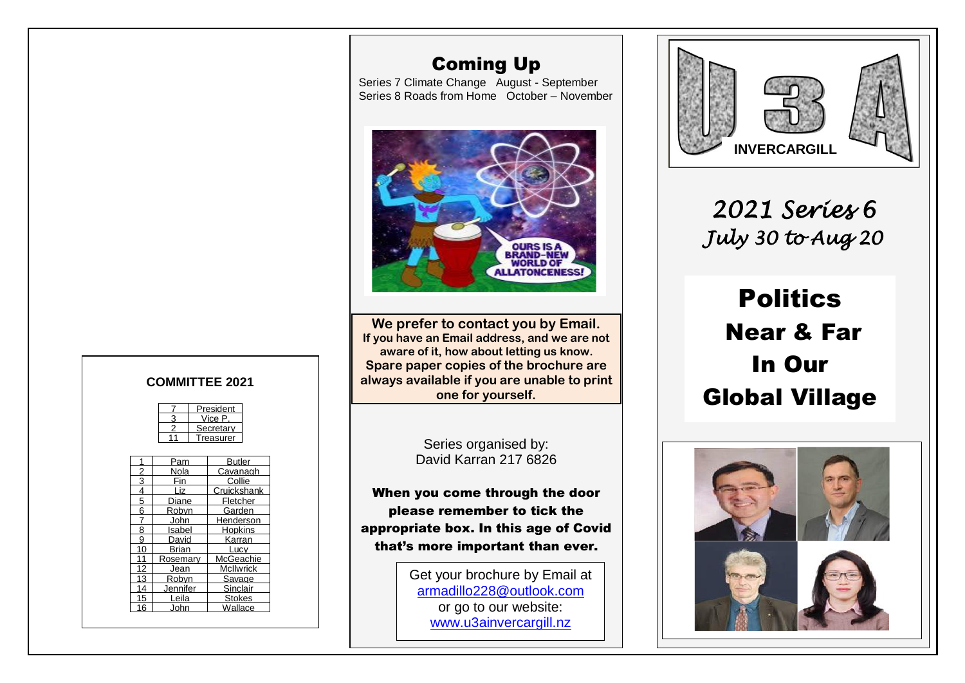# Coming Up

Series 7 Climate Change August - September Series 8 Roads from Home October – November



**We prefer to contact you by Email. If you have an Email address, and we are not aware of it, how about letting us know. Spare paper copies of the brochure are always available if you are unable to print one for yourself.**

> Series organised by: David Karran 217 6826

When you come through the door please remember to tick the appropriate box. In this age of Covid that's more important than ever.

> Get your brochure by Email at [armadillo228@outlook.com](mailto:armadillo228@outlook.com) or go to our website: [www.u3ainvercargill.nz](http://www.u3ainvercargill.nz/)



*2021 Series 6 July 30 to Aug 20* 

 Politics  Near & Far In Our Global Village



#### **COMMITTEE 2021**

| President |
|-----------|
| √ice P    |
| Secretary |
| Treasurer |

|    | Pam      | Butler           |
|----|----------|------------------|
| 2  | Nola     | Cavanagh         |
| 3  | Fin      | Collie           |
| 4  | Liz      | Cruickshank      |
| 5  | Diane    | Fletcher         |
| 6  | Robvn    | Garden           |
|    | John     | lenderson        |
| 8  | Isabel   | Hopkins          |
| 9  | David    | Karran           |
| 10 | Brian    | Lucv             |
| 11 | Rosemary | McGeachie        |
| 12 | Jean     | <b>McIlwrick</b> |
| 13 | Robvn    | Savage           |
| 14 | Jennifer | Sinclair         |
| 15 | Leila    | <b>Stokes</b>    |
|    | John     | Wallace          |